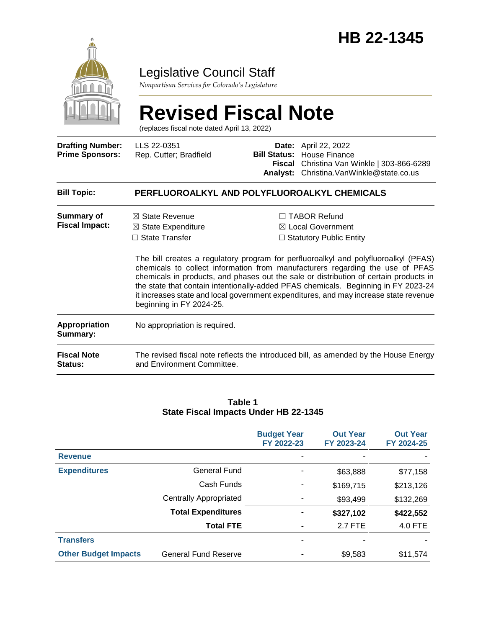

# Legislative Council Staff

*Nonpartisan Services for Colorado's Legislature*

# **Revised Fiscal Note**

(replaces fiscal note dated April 13, 2022)

| <b>Drafting Number:</b><br><b>Prime Sponsors:</b> | LLS 22-0351<br>Rep. Cutter; Bradfield                                                                              | <b>Analyst:</b> | Date: April 22, 2022<br><b>Bill Status:</b> House Finance<br>Fiscal Christina Van Winkle   303-866-6289<br>Christina. Van Winkle@state.co.us                                                                                                                                                                                                                                                                                                                                                                                         |  |  |
|---------------------------------------------------|--------------------------------------------------------------------------------------------------------------------|-----------------|--------------------------------------------------------------------------------------------------------------------------------------------------------------------------------------------------------------------------------------------------------------------------------------------------------------------------------------------------------------------------------------------------------------------------------------------------------------------------------------------------------------------------------------|--|--|
| <b>Bill Topic:</b>                                | PERFLUOROALKYL AND POLYFLUOROALKYL CHEMICALS                                                                       |                 |                                                                                                                                                                                                                                                                                                                                                                                                                                                                                                                                      |  |  |
| Summary of<br><b>Fiscal Impact:</b>               | $\boxtimes$ State Revenue<br>$\boxtimes$ State Expenditure<br>$\Box$ State Transfer<br>beginning in FY 2024-25.    |                 | <b>TABOR Refund</b><br>$\boxtimes$ Local Government<br>$\Box$ Statutory Public Entity<br>The bill creates a regulatory program for perfluoroalkyl and polyfluoroalkyl (PFAS)<br>chemicals to collect information from manufacturers regarding the use of PFAS<br>chemicals in products, and phases out the sale or distribution of certain products in<br>the state that contain intentionally-added PFAS chemicals. Beginning in FY 2023-24<br>it increases state and local government expenditures, and may increase state revenue |  |  |
| Appropriation<br>Summary:                         | No appropriation is required.                                                                                      |                 |                                                                                                                                                                                                                                                                                                                                                                                                                                                                                                                                      |  |  |
| <b>Fiscal Note</b><br>Status:                     | The revised fiscal note reflects the introduced bill, as amended by the House Energy<br>and Environment Committee. |                 |                                                                                                                                                                                                                                                                                                                                                                                                                                                                                                                                      |  |  |

#### **Table 1 State Fiscal Impacts Under HB 22-1345**

|                             |                               | <b>Budget Year</b><br>FY 2022-23 | <b>Out Year</b><br>FY 2023-24 | <b>Out Year</b><br>FY 2024-25 |
|-----------------------------|-------------------------------|----------------------------------|-------------------------------|-------------------------------|
| <b>Revenue</b>              |                               |                                  |                               |                               |
| <b>Expenditures</b>         | General Fund                  |                                  | \$63,888                      | \$77,158                      |
|                             | Cash Funds                    |                                  | \$169,715                     | \$213,126                     |
|                             | <b>Centrally Appropriated</b> |                                  | \$93,499                      | \$132,269                     |
|                             | <b>Total Expenditures</b>     | $\blacksquare$                   | \$327,102                     | \$422,552                     |
|                             | <b>Total FTE</b>              | $\blacksquare$                   | 2.7 FTE                       | 4.0 FTE                       |
| <b>Transfers</b>            |                               |                                  |                               |                               |
| <b>Other Budget Impacts</b> | <b>General Fund Reserve</b>   | -                                | \$9,583                       | \$11,574                      |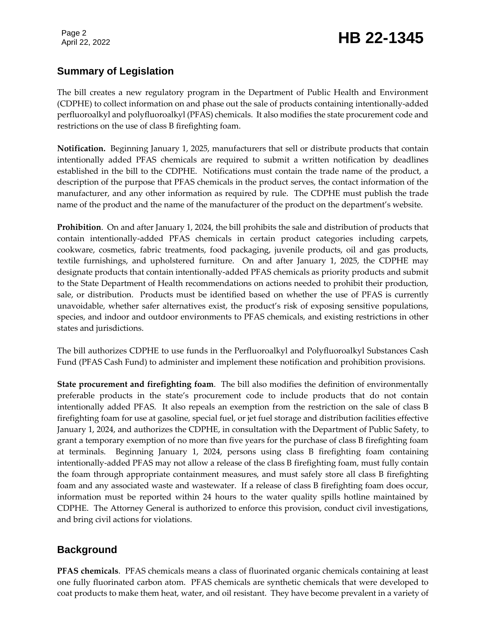# Page 2<br>April 22, 2022 **HB 22-1345**

# **Summary of Legislation**

The bill creates a new regulatory program in the Department of Public Health and Environment (CDPHE) to collect information on and phase out the sale of products containing intentionally-added perfluoroalkyl and polyfluoroalkyl (PFAS) chemicals. It also modifies the state procurement code and restrictions on the use of class B firefighting foam.

**Notification.** Beginning January 1, 2025, manufacturers that sell or distribute products that contain intentionally added PFAS chemicals are required to submit a written notification by deadlines established in the bill to the CDPHE. Notifications must contain the trade name of the product, a description of the purpose that PFAS chemicals in the product serves, the contact information of the manufacturer, and any other information as required by rule. The CDPHE must publish the trade name of the product and the name of the manufacturer of the product on the department's website.

**Prohibition**. On and after January 1, 2024, the bill prohibits the sale and distribution of products that contain intentionally-added PFAS chemicals in certain product categories including carpets, cookware, cosmetics, fabric treatments, food packaging, juvenile products, oil and gas products, textile furnishings, and upholstered furniture. On and after January 1, 2025, the CDPHE may designate products that contain intentionally-added PFAS chemicals as priority products and submit to the State Department of Health recommendations on actions needed to prohibit their production, sale, or distribution. Products must be identified based on whether the use of PFAS is currently unavoidable, whether safer alternatives exist, the product's risk of exposing sensitive populations, species, and indoor and outdoor environments to PFAS chemicals, and existing restrictions in other states and jurisdictions.

The bill authorizes CDPHE to use funds in the Perfluoroalkyl and Polyfluoroalkyl Substances Cash Fund (PFAS Cash Fund) to administer and implement these notification and prohibition provisions.

**State procurement and firefighting foam**. The bill also modifies the definition of environmentally preferable products in the state's procurement code to include products that do not contain intentionally added PFAS. It also repeals an exemption from the restriction on the sale of class B firefighting foam for use at gasoline, special fuel, or jet fuel storage and distribution facilities effective January 1, 2024, and authorizes the CDPHE, in consultation with the Department of Public Safety, to grant a temporary exemption of no more than five years for the purchase of class B firefighting foam at terminals. Beginning January 1, 2024, persons using class B firefighting foam containing intentionally-added PFAS may not allow a release of the class B firefighting foam, must fully contain the foam through appropriate containment measures, and must safely store all class B firefighting foam and any associated waste and wastewater. If a release of class B firefighting foam does occur, information must be reported within 24 hours to the water quality spills hotline maintained by CDPHE. The Attorney General is authorized to enforce this provision, conduct civil investigations, and bring civil actions for violations.

# **Background**

**PFAS chemicals**. PFAS chemicals means a class of fluorinated organic chemicals containing at least one fully fluorinated carbon atom. PFAS chemicals are synthetic chemicals that were developed to coat products to make them heat, water, and oil resistant. They have become prevalent in a variety of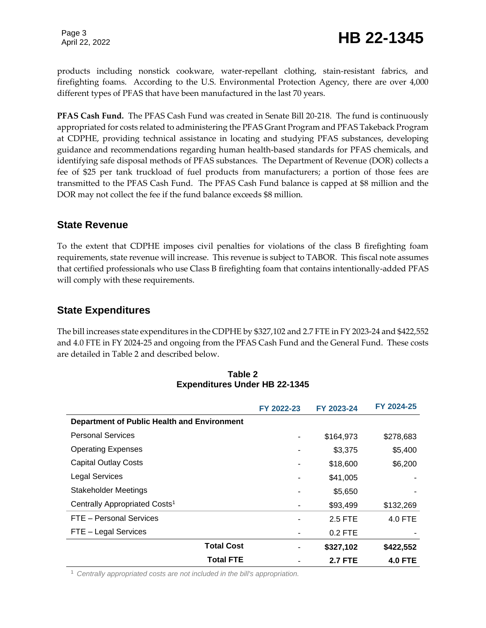Page 3

products including nonstick cookware, water-repellant clothing, stain-resistant fabrics, and firefighting foams. According to the U.S. Environmental Protection Agency, there are over 4,000 different types of PFAS that have been manufactured in the last 70 years.

**PFAS Cash Fund.** The PFAS Cash Fund was created in Senate Bill 20-218. The fund is continuously appropriated for costs related to administering the PFAS Grant Program and PFAS Takeback Program at CDPHE, providing technical assistance in locating and studying PFAS substances, developing guidance and recommendations regarding human health-based standards for PFAS chemicals, and identifying safe disposal methods of PFAS substances. The Department of Revenue (DOR) collects a fee of \$25 per tank truckload of fuel products from manufacturers; a portion of those fees are transmitted to the PFAS Cash Fund. The PFAS Cash Fund balance is capped at \$8 million and the DOR may not collect the fee if the fund balance exceeds \$8 million.

#### **State Revenue**

To the extent that CDPHE imposes civil penalties for violations of the class B firefighting foam requirements, state revenue will increase. This revenue is subject to TABOR. This fiscal note assumes that certified professionals who use Class B firefighting foam that contains intentionally-added PFAS will comply with these requirements.

### **State Expenditures**

The bill increases state expenditures in the CDPHE by \$327,102 and 2.7 FTE in FY 2023-24 and \$422,552 and 4.0 FTE in FY 2024-25 and ongoing from the PFAS Cash Fund and the General Fund. These costs are detailed in Table 2 and described below.

|                                             | FY 2022-23 | FY 2023-24     | FY 2024-25     |
|---------------------------------------------|------------|----------------|----------------|
| Department of Public Health and Environment |            |                |                |
| <b>Personal Services</b>                    |            | \$164,973      | \$278,683      |
| <b>Operating Expenses</b>                   |            | \$3,375        | \$5,400        |
| <b>Capital Outlay Costs</b>                 |            | \$18,600       | \$6,200        |
| <b>Legal Services</b>                       |            | \$41,005       |                |
| <b>Stakeholder Meetings</b>                 |            | \$5,650        |                |
| Centrally Appropriated Costs <sup>1</sup>   |            | \$93,499       | \$132,269      |
| FTE - Personal Services                     |            | 2.5 FTE        | 4.0 FTE        |
| FTE - Legal Services                        |            | $0.2$ FTE      |                |
| <b>Total Cost</b>                           |            | \$327,102      | \$422,552      |
| <b>Total FTE</b>                            |            | <b>2.7 FTE</b> | <b>4.0 FTE</b> |

#### **Table 2 Expenditures Under HB 22-1345**

<sup>1</sup> *Centrally appropriated costs are not included in the bill's appropriation.*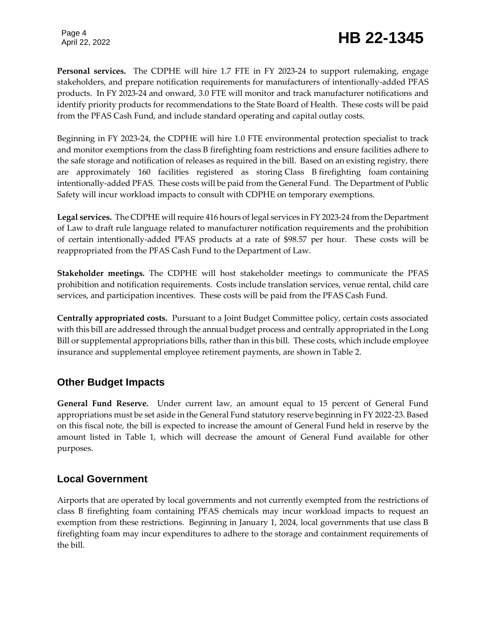Page 4

# Page 4<br>April 22, 2022 **HB 22-1345**

**Personal services.** The CDPHE will hire 1.7 FTE in FY 2023-24 to support rulemaking, engage stakeholders, and prepare notification requirements for manufacturers of intentionally-added PFAS products. In FY 2023-24 and onward, 3.0 FTE will monitor and track manufacturer notifications and identify priority products for recommendations to the State Board of Health. These costs will be paid from the PFAS Cash Fund, and include standard operating and capital outlay costs.

Beginning in FY 2023-24, the CDPHE will hire 1.0 FTE environmental protection specialist to track and monitor exemptions from the class B firefighting foam restrictions and ensure facilities adhere to the safe storage and notification of releases as required in the bill. Based on an existing registry, there are approximately 160 facilities registered as storing Class B firefighting foam containing intentionally-added PFAS. These costs will be paid from the General Fund. The Department of Public Safety will incur workload impacts to consult with CDPHE on temporary exemptions.

**Legal services.** The CDPHE will require 416 hours of legal services in FY 2023-24 from the Department of Law to draft rule language related to manufacturer notification requirements and the prohibition of certain intentionally-added PFAS products at a rate of \$98.57 per hour. These costs will be reappropriated from the PFAS Cash Fund to the Department of Law.

**Stakeholder meetings.** The CDPHE will host stakeholder meetings to communicate the PFAS prohibition and notification requirements. Costs include translation services, venue rental, child care services, and participation incentives. These costs will be paid from the PFAS Cash Fund.

**Centrally appropriated costs.** Pursuant to a Joint Budget Committee policy, certain costs associated with this bill are addressed through the annual budget process and centrally appropriated in the Long Bill or supplemental appropriations bills, rather than in this bill. These costs, which include employee insurance and supplemental employee retirement payments, are shown in Table 2.

# **Other Budget Impacts**

**General Fund Reserve.** Under current law, an amount equal to 15 percent of General Fund appropriations must be set aside in the General Fund statutory reserve beginning in FY 2022-23. Based on this fiscal note, the bill is expected to increase the amount of General Fund held in reserve by the amount listed in Table 1, which will decrease the amount of General Fund available for other purposes.

### **Local Government**

Airports that are operated by local governments and not currently exempted from the restrictions of class B firefighting foam containing PFAS chemicals may incur workload impacts to request an exemption from these restrictions. Beginning in January 1, 2024, local governments that use class B firefighting foam may incur expenditures to adhere to the storage and containment requirements of the bill.